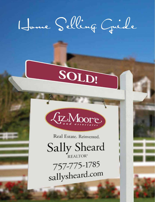# Home Selling Guide

# SOLD!



Real Estate. Reinvented.

Sally Sheard

757-775-1785 sallysheard.com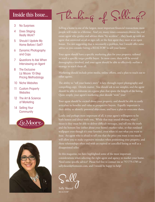#### Inside this Issue...

- 3 No Surprises
- 4 Does Staging Really Work?
- 5 Should I Update My Home Before I Sell?
- 6 Dynamic Photography and Copy
- 7 Questions to Ask When Interviewing an Agent
- 8 The Exclusive Liz Moore 10-Step Pricing Methodology
- 10 Niche Websites
- 11 Custom Property **Websites**
- 12 The Art & Science of Marketing
- 14 Selling Your **Community**





Thinking of Selling?

Selling a home is one of the largest, most important financial transactions most people will make in a lifetime. And yet, many times consumers choose the real estate agent who guides and advises them "by accident"…they hook up with an agent that answered an ad or sign call, or the first agent they meet at an open house. I'm not suggesting that is necessarily a problem, but I would offer some advice as you consider hiring a REALTOR® to sell your home:

Your agent should have a specific marketing plan for your property, tailored to reach a specific target profile buyer. In most cases, there will be several demographics involved, and your agent should be able to effectively outline a strategy to reach them all.

Marketing should include print media, online efforts, and a plan to reach out to other agents.

The ability to "tell your home's story" is key, through expert photography and compelling copy. Details matter. You should ask to see samples, and the agent should be able to elaborate on a game plan that spans the length of the listing. Quite simply, your agent's marketing plan should "wow" you!

Your agent should be excited about your property, and should be able to easily articulate its benefits and value to prospective buyers. Equally important is their ability to identify potential objections, and have a plan to overcome them.

Lastly, and perhaps most important of all, is your agent's willingness to be both honest and direct with you. While that may sound obvious, what I mean is they must be able to deliver difficult messages, and tell you the truth and the bottom line (either about your home's market value, or that outdated wallpaper even though it's your favorite), even when it's not what you want to hear. An agent who is afraid to tell you that the price you want is too much will allow you to make expensive mistakes when positioning your property, and those relationships often end with an expired or cancelled listing as well as a disappointed seller.

In this magazine, we have highlighted some of the most important considerations when selecting the right agent and agency to market your home. Need some specific advice? Please feel free to contact me at 757-775-1785 or sallysheard@lizmoore.com, and I would be happy to help!

Sally

Sally Sheard REALTOR®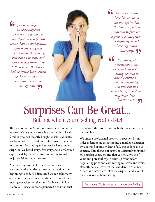*Just hours before we were supposed to move, we found out our appraisal was \$3500 lower than we anticipated. Our household goods were packed, the moving van was on its way, and everyone was lined up to help us move. We felt we had no choice but to cough up the extra money we didn't have time to negotiate.*



*I wish we would have known about all the repairs that the home inspection required before we agreed to a sales price – I definitely would have negotiated differently.*

*With the repair negotiation in the eleventh hour before closing, we had to hire the contractor who was available, and that cost us a pretty penny! I wish we had more time to bid the work.*

### Surprises Can Be Great... But not when you're selling real estate!

The creation of Liz Moore and Associates has been a journey. We began by surveying thousands of local families who had recently bought or sold real estate. We found too many had one unfortunate experience in common: frustrating and expensive last minute surprises. We heard story after story about unforeseen expenses, delays, and the stress of having to make major decisions under pressure.

After hearing stories like these, we took a step back and evaluated the real estate transaction from beginning to end. We discovered we can take many of the surprises, and much of the stress, out of the moving equation for sellers and for buyers. At Liz Moore & Associates, we've pioneered a solution that reorganizes the process, saving both money and time for our clients.

We order a professional property inspection by an independent home inspector and a market evaluation by a licensed appraiser. Best of all, this is done at our expense. This allows our agents to accurately pinpoint true market value, ensures that you are advised of value and potential repair issues up front before negotiating price and committing to terms, and avoids eleventh hour discoveries that can derail a sale. Liz Moore and Associates takes the surprise, and a lot of the stress, out of home selling.

Learn about "No Surprises" at: lizmoore.com/selling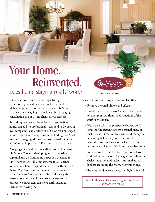### Your Home. Reinvented.

### Does home staging really work?

"We are so convinced that having a listing professionally staged means a quicker sale and higher net proceeds for our sellers," says Liz Moore, "that we are now going to provide an initial staging consultation to our listing clients at our expense."

According to a recent Home Gain survey, 94% of homes staged by a professional stager sold in 29 days or less, compared to an average of 145 days for non-staged homes. Even more compelling is the finding that \$724 invested in staging (the average cost) netted the seller \$2,145 more in price – a 196% return on investment!

A staging consultation is in addition to the legendary Liz Moore "No Surprises" program: a pre-listing appraisal and up front home inspection provided to Liz Moore sellers – all at no expense to our clients. What does a home stager do? One of Trez Robinson's (Staged2SellVA.com) favorite mantra's is that she is a "de-decorator." A stager's role is to take away the personality and style of the current owner, so that prospective purchasers can more easily visualize themselves moving in.

Real Estate. Reinvented.<sup>®</sup>

(iz.Moore)

IJ

There are a number of ways to accomplish this:

- Remove personal photos and effects.
- De-clutter so that buyers focus on the "bones" of a house rather than the distractions of the stuff in the house.
- Neutralize colors, so prospective buyers don't object to the current owner's personal taste, or that they will need to invest time and money in repainting before they move in (need to neutralize and curious about what color? Trez recommends Sherwin Williams Believable Buff).
- Remove any "extra" furniture, so rooms look and feel more spacious. Same goes for things on shelves, mantles and tables – minimalize, so lookers are seeing the room, not your things.
- Remove window treatments let light shine in!

Download a copy of our home staging checklist at: lizmoore.com/selling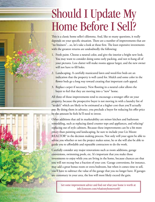### Should I Update My Home Before I Sell?

This is a classic home seller's dilemma. And, like so many questions, it really depends on your specific situation. There are a number of improvements that are "no brainers"…so, let's take a look at those first. The least expensive investments with the greatest returns are undoubtedly the following:

- 1. Fresh paint. Choose a neutral color, and give the interior a bright new look. You may want to consider doing some early packing, and not re-hang all of your pictures. Less clutter will make rooms appear larger, and the new owner will not have to fill holes.
- 2. Landscaping. A carefully manicured lawn and weed-free beds are an indication that the property is well cared for. Mulch and some color in the flower beds go a long way toward creating that important curb appeal.
- 3. Replace carpet if necessary. New flooring in a neutral color allows the buyer to feel that they are moving into a "new" home.

All three of those improvements tend to encourage a stronger offer on your property, because the prospective buyer is not moving in with a laundry list of "to-do's" which are likely to be estimated at a higher cost than you'll actually pay. By doing them in advance, you preclude a buyer for reducing his offer price by the amount he feels he'll need to invest.

Other additions that aid in marketability are minor kitchen and bathroom remodeling, such as replacing dated counter tops and appliances, and refacing/ replacing out of style cabinets. Because these improvements can be a bit more pricey than painting and landscaping, be sure to include your Liz Moore REALTOR® in the decision making process. Not only will your agent be able to advise you whether or not the project makes sense, he or she will also be able to guide you to affordable and reputable contractors to do the work.

Carefully consider any major renovations such as room additions, garage conversions, swimming pools, etc. It's important that you make those investments to enjoy while you are living in the home, because chances are that you will not recoup but a fraction of your cost. Garage conversions, for instance, may add a great bonus room or extra bedroom, but when it comes time to sell, you'll have to subtract the value of the garage that you no longer have. If garages are customary in your area, the loss will most likely exceed the gain.

Get some improvement advice and find out what your home is worth at: info.lizmoore.com/whatismyhomeworth?

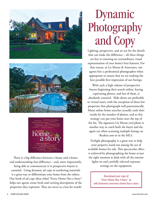





There is a big difference between a house and a home, and understanding that difference – and, more importantly, being able to communicate it to prospective buyers is essential. Using dynamic ad copy in marketing materials is a great way to differentiate your home from the others. Our book of ad copy ideas titled "Every Home Has a Story" helps our agents create fresh and exciting descriptions of the properties they represent. They are never at a loss for words!

## Dynamic Photography and Copy

Lighting, perspective, and an eye for the details that can make the difference – all these things are key to ensuring an extraordinary visual representation of your home's best features. For that reason, at Liz Moore & Associates, our agents hire a professional photographer when appropriate to ensure that we are making the best possible first impression of our listings.

With such a high volume of prospective buyers beginning their search online, having

captivating photos, and lots of them, is absolutely essential. Slide shows are preferable to virtual tours, with the exception of those few properties that photograph well panoramically. Many online home searches actually rank their results by the number of photos, and so this strategy can put your home near the top of the list. The signature Liz Moore oval photo is another way to catch both the buyer and the agent eye when scanning multiple listings on Realtor.com or in the MLS.

Twilight photography is a great way to help your property stand out among the sea of available homes for sale. This spectacular effect is achieved by photographing the home at just the right moment at dusk with all the interior lights on and carefully selected exposure settings on the equipment.

Download your copy of "Every Home Has A Story" at: info.lizmoore.com/every-home-has-a-story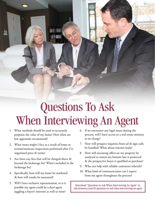### Questions To Ask When Interviewing An Agent

- 1. What methods should be used to accurately pinpoint the value of my home? How often are low appraisals encountered?
- 2. What issues might I face as a result of home or termite/moisture inspections performed after I've negotiated price & terms?
- 3. Are there any fees that will be charged above  $\&$ beyond the brokerage fee? What's included in the brokerage fee?
- 4. Specifically, how will my home be marketed & how will results be measured?
- 5. Will I have exclusive representation, or is it possible my agent could be a dual agent juggling a buyer's interests as well as mine?
- 6. If we encounter any legal issues during the process, will I have access to a real estate attorney at no charge?
- 7. How will prospect inquiries from ad & sign calls be handled? What about internet leads?
- 8. How will incoming offers on my property be analyzed to ensure my bottom line is protected & the prospective buyer is qualified to purchase?
- 9. Who can help with reliable contractor referrals?
- 10. What kind of communication can I expect from my agent throughout the process?

Download "Questions to Ask When Interviewing An Agent" at: info.lizmoore.com/10-questions-to-ask-when-interviewing-an-agent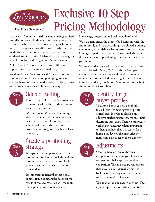

Exclusive 10 Step Pricing Methodology

Real Estate. Reinvented.®

In the last 12 months, nearly as many listings expired, cancelled or were withdrawn from the market as sold. For sellers who are serious about getting their homes sold, that presents a huge dilemma. Clearly, traditional methods for marketing real estate have become outdated and ineffective. CMAs alone are no longer a reliable tool for predicting a home's market value.

At Liz Moore & Associates, we take a different approach to both pricing and marketing.

We don't believe "one size fits all" for a marketing plan, nor do we believe a computer program can effectively recommend a market value. Getting listings sold in today's real estate climate takes experience,



### Odds of selling

In such a dynamic market, it is essential to constantly evaluate the trends relative to your market segment.

We study months' supply of inventory, absorption rates, and a number of other factors to determine if it is a buyer's or seller's market, and where we need to position your listing to be the best value in its category.



#### Create a positioning strategy

Perhaps the most important step in the process, in this phase we look through the prospective buyers' eyes, and run likely search scenarios to evaluate the active competition.

It's important to remember that not all competition is comparable! Based on the results of these searches, we will make an initial positioning recommendation.

knowledge, finesse, and old fashioned hard work.

We have reinvented the process by beginning with the end in mind, and have accordingly developed a pricing methodology that delivers better results for our clients. Our agents perform a rigorous 10 step analysis before they recommend a positioning strategy specifically for your home.

We are confident that when you compare our analysis to a traditional CMA (CMA stands for "comparative market analysis" where agents allow the computer to generate a recommended price range), you will begin to understand why Liz Moore & Associates is the best choice to market your home.



#### Identify target buyer profiles

To catch a buyer, you have to think like a buyer! Yet most agents skip this critical step. In order to develop an effective marketing strategy, we must first determine our target. Then we can predict with relative accuracy what's important to them and how they will search for a home, and develop the most effective marketing plan to reach them directly.



### Adjustments

Once we have an idea of the direct competition, we analyze your home's best features and challenges in a weighted comparison. This is a credit/debit process that accounts for external factors like backing up to a busy road, or updates such as a remodeled kitchen.

This is an art as opposed to a science. Your agent's experience for this step is critical.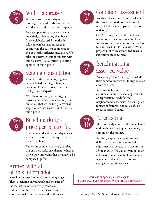

### Will it appraise?

Because most buyers today get a mortgage, we need to also consider what a lender will lend in terms of an appraisal.

Because appraisers approach value in an entirely different way than buyers (they look backward 6 months for sold comparable sales, rather than considering the current competition), this is a totally different calculation. We take the guesswork out of this step with our exclusive "No Surprises" prelisting appraisal at our expense.

Step 7

### Staging consultation

Recent trends in home staging have demonstrated that staged homes sell faster and for more money than their unstaged counterparts.

We believe so strongly that staging provides the competitive advantage for our sellers that we invite a professional stager in to consult with our clients... at our expense.



### Benchmarking price per square foot

Another consideration for today's buyer is a comparison of price per square foot of competing homes.

Unless the competition is very similar, this can be a tricky calculation - which is why it is so important that the analysis be completed up front.

### Armed with all of this information

we will recommend an initial positioning range. Then, depending on your goals and the pace of the market, we review activity, feedback, and trends in the market every 30-45 days to ensure we maintain that competitive advantage.



### Condition assessment

Another critical component of value is the property's condition. Is it move in ready? Or does it need paint, repairs or updating?

Our "No Surprises" pre-listing home inspection can identify issues up front, so that you can put your home's best foot forward when it hits the market. We will prepare a list of recommended items to get your home show ready.

**Step** 8

### Benchmarking assessed value

Because buyers and their agents will do their homework, we work to stay one step ahead of them.

We'll research your current tax assessment in order to spot appreciation or depreciation trends for the neighborhood, accuracies in data (square footage or features), and ratios of sold prices to assessed value.

Step 10

### Forecasting

Markets are dynamic, and values change with each new closing or new listing coming on the market.

We study expired and pending sales daily, so that we can recommend adjustments as necessary to stay in front of the market. We will set you up on an automatic e-mail search of your market segment, so that you can monitor changes in real time as well.

Download our pricing methodology at: info.lizmoore.com/the-liz-moore-10-step-pricing-methodology

*Copyright 2013, Liz Moore & Associates, all rights reserved.*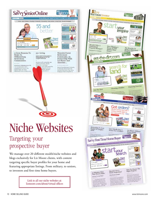

### Niche Websites

### Targeting your prospective buyer

We manage over 20 different stealth/niche websites and blogs exclusively for Liz Moore clients, with content targeting specific buyer profiles for your home and featuring appropriate listings. From military, to seniors, to investors and first time home buyers.

> Link to all our niche websites at: lizmoore.com/about/virtual-offices

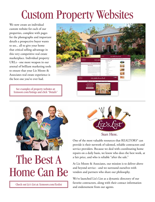### Custom Property Websites

We now create an individual custom website for each of our properties, complete with pages for the photographs and important details a prospective buyer wants to see... all to give your home that critical selling advantage in this very competitive real estate marketplace. Individual property URLs - one more weapon in our arsenal of brilliant marketing tools to ensure that your Liz Moore & Associates real estate experience is the best one you've ever had.

See examples of property websites at: lizmoore.com/listings and click "Details"





### The Best A Home Can Be

Check out Liz's List at: lizmoore.com/lizslist



One of the most valuable resources that REALTORS<sup>®</sup> can provide is their network of talented, reliable contractors and service providers. Because we deal with coordinating home repairs on a daily basis, we know who does the best work, at a fair price, and who is reliable "after the sale."

At Liz Moore & Associates, our mission is to deliver above and beyond service - and we surround ourselves with vendors and partners who share our philosophy.

We've launched Liz's List as a dynamic directory of our favorite contractors, along with their contact information and endorsement from our agents.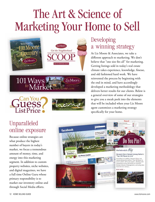### The Art & Science of Marketing Your Home to Sell







### Unparalleled online exposure

Because online strategies are what produce the highest number of buyers in today's market, we focus a tremendous amount of money, time, and energy into this marketing segment. In addition to custom property websites, niche websites, and digital magazines, we have a full time Online Guru whose primary responsibility is to market our inventory online and through Social Media efforts.



### Developing a winning strategy

At Liz Moore & Associates, we take a different approach to marketing. We don't believe that "one size fits all" for marketing. Getting listings sold in today's real estate climate takes experience, knowledge, finesse, and old fashioned hard work. We have reinvented the process by beginning with the end in mind, and have accordingly developed a marketing methodology that delivers better results for our clients. Below is a general overview of some of our strategies to give you a sneak peek into the elements that will be included when your Liz Moore agent customizes a marketing strategy specifically for your home.

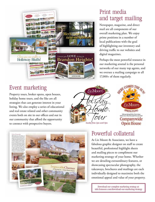

### Print media and target mailing

Newspaper, magazine, and direct mail are all components of our overall marketing plan. We enjoy prime positions in a number of local publications with the goal of highlighting our inventory and driving traffic to our websites and digital magazines.

Perhaps the most powerful resource in our marketing arsenal is the personal networks of our many top agents, and we oversee a mailing campaign to all 17,000+ of them regularly.

### Event marketing

Property tours, broker opens, open houses, holiday home tours, and the like are all strategies that can generate interest in your listing. We also employ a series of educational and real estate related and other community events both on site in our offices and out in our community that afford the opportunity to connect with prospective buyers.







### Powerful collateral

At Liz Moore & Associates, we have a fabulous graphic designer on staff to create beautiful, professional highlight sheets and mailing pieces to compliment our marketing strategy of your home. Whether we are detailing extraordinary features, or showcasing spectacular photography, the takeaways, brochures and mailings are each individually designed to maximize both the emotional appeal and value of your property.

Download our complete marketing strategy at: info.lizmoore.com/download-our-marketing-strategy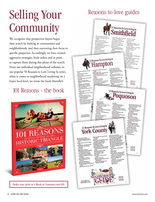## Selling Your **Community**

We recognize that prospective buyers begin their search by looking at communities and neighborhoods, and then narrowing their focus to specific properties. Accordingly, we have created aggressive strategies, both online and in print, to capture them during this phase of the search. From our individual neighborhood websites, to our popular 50 Reasons to Love Living In series, when it comes to neighborhood marketing on a hyper local level, we wrote the book (literally!).

#### 101 Reasons - the book



Order your print or e-Book at: lizmoore.com/101

### Reasons to love guides

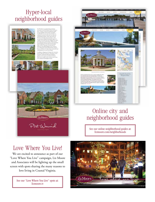### Hyper-local neighborhood guides





### Online city and neighborhood guides

See our online neighborhood guides at: lizmoore.com/neighborhoods

### Love Where You Live!

We are excited to announce as part of our "Love Where You Live" campaign, Liz Moore and Associates will be lighting up the small screen with spots sharing the many reasons to love living in Coastal Virginia.

> See our "Love Where You Live" spots at: lizmoore.tv